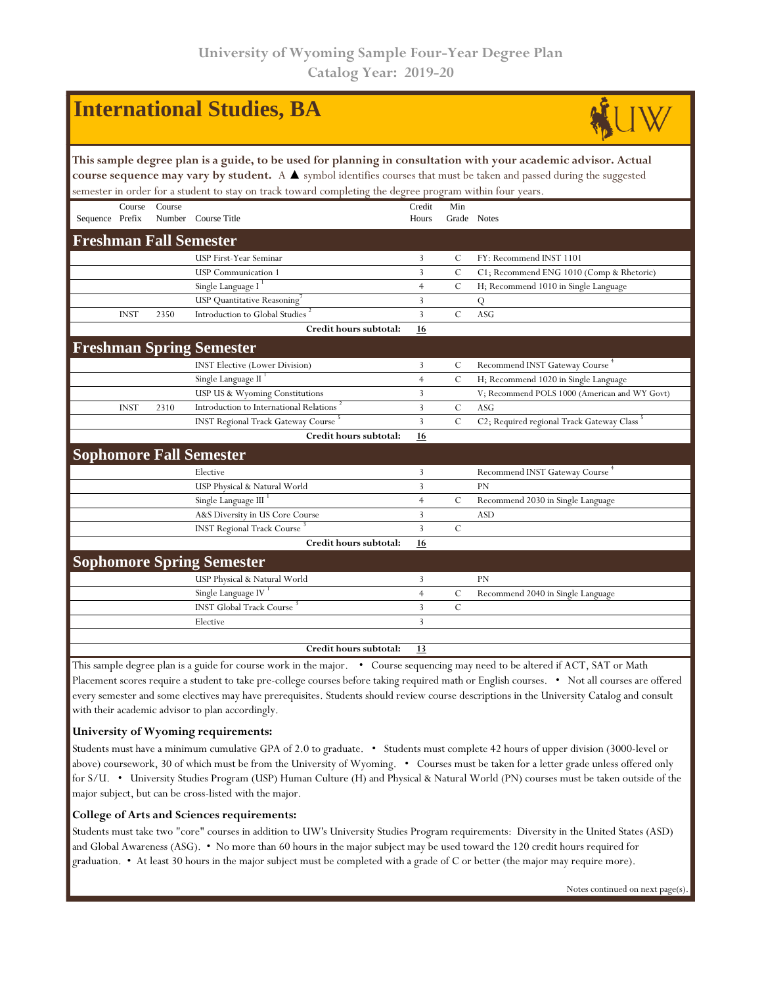| <b>International Studies, BA</b>                                                                                                                                                                                                                                                                                                                                   |                                                                                                                                 |        |                                                      |                 |                |                                               |  |  |  |  |
|--------------------------------------------------------------------------------------------------------------------------------------------------------------------------------------------------------------------------------------------------------------------------------------------------------------------------------------------------------------------|---------------------------------------------------------------------------------------------------------------------------------|--------|------------------------------------------------------|-----------------|----------------|-----------------------------------------------|--|--|--|--|
| This sample degree plan is a guide, to be used for planning in consultation with your academic advisor. Actual<br>course sequence may vary by student. A $\blacktriangle$ symbol identifies courses that must be taken and passed during the suggested<br>semester in order for a student to stay on track toward completing the degree program within four years. |                                                                                                                                 |        |                                                      |                 |                |                                               |  |  |  |  |
| Sequence Prefix                                                                                                                                                                                                                                                                                                                                                    | Course                                                                                                                          | Course | Number Course Title                                  | Credit<br>Hours | Min            | Grade Notes                                   |  |  |  |  |
|                                                                                                                                                                                                                                                                                                                                                                    |                                                                                                                                 |        | <b>Freshman Fall Semester</b>                        |                 |                |                                               |  |  |  |  |
|                                                                                                                                                                                                                                                                                                                                                                    |                                                                                                                                 |        | USP First-Year Seminar                               | 3               | C              | FY: Recommend INST 1101                       |  |  |  |  |
|                                                                                                                                                                                                                                                                                                                                                                    |                                                                                                                                 |        | <b>USP</b> Communication 1                           | 3               | $\mathcal{C}$  | C1; Recommend ENG 1010 (Comp & Rhetoric)      |  |  |  |  |
|                                                                                                                                                                                                                                                                                                                                                                    |                                                                                                                                 |        | Single Language I                                    | $\overline{4}$  | $\mathcal{C}$  | H; Recommend 1010 in Single Language          |  |  |  |  |
|                                                                                                                                                                                                                                                                                                                                                                    |                                                                                                                                 |        | USP Quantitative Reasoning                           | 3               |                | Q                                             |  |  |  |  |
|                                                                                                                                                                                                                                                                                                                                                                    | <b>INST</b>                                                                                                                     | 2350   | Introduction to Global Studies                       | 3               | $\mathcal{C}$  | ASG                                           |  |  |  |  |
|                                                                                                                                                                                                                                                                                                                                                                    |                                                                                                                                 |        | Credit hours subtotal:                               | <b>16</b>       |                |                                               |  |  |  |  |
|                                                                                                                                                                                                                                                                                                                                                                    |                                                                                                                                 |        | <b>Freshman Spring Semester</b>                      |                 |                |                                               |  |  |  |  |
|                                                                                                                                                                                                                                                                                                                                                                    |                                                                                                                                 |        | <b>INST Elective (Lower Division)</b>                | 3               | C              | Recommend INST Gateway Course <sup>4</sup>    |  |  |  |  |
|                                                                                                                                                                                                                                                                                                                                                                    |                                                                                                                                 |        | Single Language II                                   | $\overline{4}$  | $\overline{C}$ | H; Recommend 1020 in Single Language          |  |  |  |  |
|                                                                                                                                                                                                                                                                                                                                                                    |                                                                                                                                 |        | USP US & Wyoming Constitutions                       | 3               |                | V; Recommend POLS 1000 (American and WY Govt) |  |  |  |  |
|                                                                                                                                                                                                                                                                                                                                                                    | <b>INST</b>                                                                                                                     | 2310   | Introduction to International Relations <sup>2</sup> | 3               | $\cal C$       | <b>ASG</b>                                    |  |  |  |  |
|                                                                                                                                                                                                                                                                                                                                                                    |                                                                                                                                 |        | <b>INST Regional Track Gateway Course</b>            | 3               | $\overline{C}$ | C2; Required regional Track Gateway Class     |  |  |  |  |
|                                                                                                                                                                                                                                                                                                                                                                    |                                                                                                                                 |        | Credit hours subtotal:                               | 16              |                |                                               |  |  |  |  |
|                                                                                                                                                                                                                                                                                                                                                                    |                                                                                                                                 |        | <b>Sophomore Fall Semester</b>                       |                 |                |                                               |  |  |  |  |
|                                                                                                                                                                                                                                                                                                                                                                    |                                                                                                                                 |        | Elective                                             | 3               |                | Recommend INST Gateway Course                 |  |  |  |  |
|                                                                                                                                                                                                                                                                                                                                                                    |                                                                                                                                 |        | USP Physical & Natural World                         | 3               |                | <b>PN</b>                                     |  |  |  |  |
|                                                                                                                                                                                                                                                                                                                                                                    |                                                                                                                                 |        | Single Language III                                  | $\overline{4}$  | $\mathcal{C}$  | Recommend 2030 in Single Language             |  |  |  |  |
|                                                                                                                                                                                                                                                                                                                                                                    |                                                                                                                                 |        | A&S Diversity in US Core Course                      | 3               |                | <b>ASD</b>                                    |  |  |  |  |
|                                                                                                                                                                                                                                                                                                                                                                    |                                                                                                                                 |        | <b>INST Regional Track Course</b>                    | 3               | $\mathcal{C}$  |                                               |  |  |  |  |
|                                                                                                                                                                                                                                                                                                                                                                    |                                                                                                                                 |        | Credit hours subtotal:                               | 16              |                |                                               |  |  |  |  |
|                                                                                                                                                                                                                                                                                                                                                                    |                                                                                                                                 |        | <b>Sophomore Spring Semester</b>                     |                 |                |                                               |  |  |  |  |
|                                                                                                                                                                                                                                                                                                                                                                    |                                                                                                                                 |        | USP Physical & Natural World                         | 3               |                | PN                                            |  |  |  |  |
|                                                                                                                                                                                                                                                                                                                                                                    |                                                                                                                                 |        | Single Language IV <sup>1</sup>                      | $\overline{4}$  | $\mathcal{C}$  | Recommend 2040 in Single Language             |  |  |  |  |
|                                                                                                                                                                                                                                                                                                                                                                    |                                                                                                                                 |        | <b>INST Global Track Course</b>                      | 3               | $\mathcal{C}$  |                                               |  |  |  |  |
|                                                                                                                                                                                                                                                                                                                                                                    |                                                                                                                                 |        | Elective                                             | 3               |                |                                               |  |  |  |  |
|                                                                                                                                                                                                                                                                                                                                                                    |                                                                                                                                 |        | Credit hours subtotal:                               | 13              |                |                                               |  |  |  |  |
|                                                                                                                                                                                                                                                                                                                                                                    | This sample degree plan is a guide for course work in the major. • Course sequencing may need to be altered if ACT, SAT or Math |        |                                                      |                 |                |                                               |  |  |  |  |

Placement scores require a student to take pre-college courses before taking required math or English courses. • Not all courses are offered every semester and some electives may have prerequisites. Students should review course descriptions in the University Catalog and consult with their academic advisor to plan accordingly.

## **University of Wyoming requirements:**

Students must have a minimum cumulative GPA of 2.0 to graduate. • Students must complete 42 hours of upper division (3000-level or above) coursework, 30 of which must be from the University of Wyoming. • Courses must be taken for a letter grade unless offered only for S/U. • University Studies Program (USP) Human Culture (H) and Physical & Natural World (PN) courses must be taken outside of the major subject, but can be cross-listed with the major.

## **College of Arts and Sciences requirements:**

Students must take two "core" courses in addition to UW's University Studies Program requirements: Diversity in the United States (ASD) and Global Awareness (ASG). • No more than 60 hours in the major subject may be used toward the 120 credit hours required for graduation. • At least 30 hours in the major subject must be completed with a grade of C or better (the major may require more).